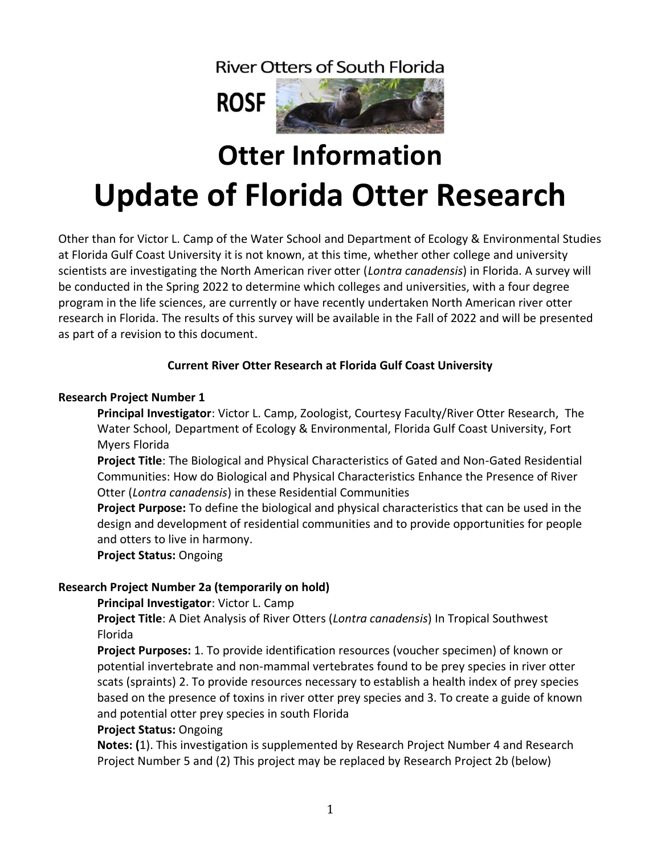**River Otters of South Florida** 



# **Otter Information Update of Florida Otter Research**

Other than for Victor L. Camp of the Water School and Department of Ecology & Environmental Studies at Florida Gulf Coast University it is not known, at this time, whether other college and university scientists are investigating the North American river otter (*Lontra canadensis*) in Florida. A survey will be conducted in the Spring 2022 to determine which colleges and universities, with a four degree program in the life sciences, are currently or have recently undertaken North American river otter research in Florida. The results of this survey will be available in the Fall of 2022 and will be presented as part of a revision to this document.

# **Current River Otter Research at Florida Gulf Coast University**

# **Research Project Number 1**

**Principal Investigator**: Victor L. Camp, Zoologist, Courtesy Faculty/River Otter Research, The Water School, Department of Ecology & Environmental, Florida Gulf Coast University, Fort Myers Florida

**Project Title**: The Biological and Physical Characteristics of Gated and Non-Gated Residential Communities: How do Biological and Physical Characteristics Enhance the Presence of River Otter (*Lontra canadensis*) in these Residential Communities

**Project Purpose:** To define the biological and physical characteristics that can be used in the design and development of residential communities and to provide opportunities for people and otters to live in harmony.

**Project Status:** Ongoing

# **Research Project Number 2a (temporarily on hold)**

## **Principal Investigator**: Victor L. Camp

**Project Title**: A Diet Analysis of River Otters (*Lontra canadensis*) In Tropical Southwest Florida

**Project Purposes:** 1. To provide identification resources (voucher specimen) of known or potential invertebrate and non-mammal vertebrates found to be prey species in river otter scats (spraints) 2. To provide resources necessary to establish a health index of prey species based on the presence of toxins in river otter prey species and 3. To create a guide of known and potential otter prey species in south Florida

## **Project Status:** Ongoing

**Notes: (**1). This investigation is supplemented by Research Project Number 4 and Research Project Number 5 and (2) This project may be replaced by Research Project 2b (below)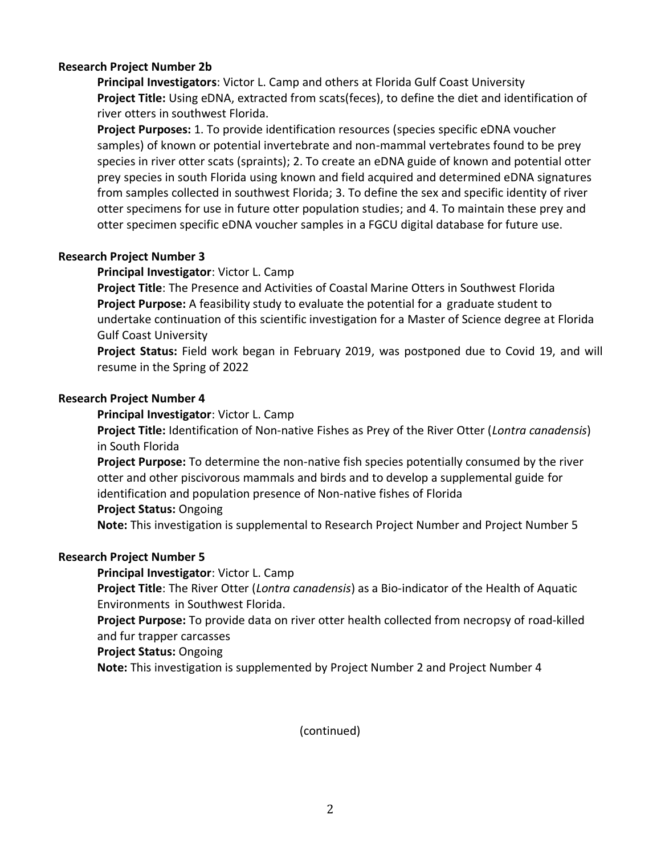## **Research Project Number 2b**

**Principal Investigators**: Victor L. Camp and others at Florida Gulf Coast University **Project Title:** Using eDNA, extracted from scats(feces), to define the diet and identification of river otters in southwest Florida.

**Project Purposes:** 1. To provide identification resources (species specific eDNA voucher samples) of known or potential invertebrate and non-mammal vertebrates found to be prey species in river otter scats (spraints); 2. To create an eDNA guide of known and potential otter prey species in south Florida using known and field acquired and determined eDNA signatures from samples collected in southwest Florida; 3. To define the sex and specific identity of river otter specimens for use in future otter population studies; and 4. To maintain these prey and otter specimen specific eDNA voucher samples in a FGCU digital database for future use.

## **Research Project Number 3**

## **Principal Investigator**: Victor L. Camp

**Project Title**: The Presence and Activities of Coastal Marine Otters in Southwest Florida **Project Purpose:** A feasibility study to evaluate the potential for a graduate student to undertake continuation of this scientific investigation for a Master of Science degree at Florida Gulf Coast University

**Project Status:** Field work began in February 2019, was postponed due to Covid 19, and will resume in the Spring of 2022

## **Research Project Number 4**

**Principal Investigator**: Victor L. Camp

**Project Title:** Identification of Non-native Fishes as Prey of the River Otter (*Lontra canadensis*) in South Florida

**Project Purpose:** To determine the non-native fish species potentially consumed by the river otter and other piscivorous mammals and birds and to develop a supplemental guide for identification and population presence of Non-native fishes of Florida **Project Status:** Ongoing

**Note:** This investigation is supplemental to Research Project Number and Project Number 5

## **Research Project Number 5**

**Principal Investigator**: Victor L. Camp

**Project Title**: The River Otter (*Lontra canadensis*) as a Bio-indicator of the Health of Aquatic Environments in Southwest Florida.

**Project Purpose:** To provide data on river otter health collected from necropsy of road-killed and fur trapper carcasses

**Project Status:** Ongoing

**Note:** This investigation is supplemented by Project Number 2 and Project Number 4

(continued)